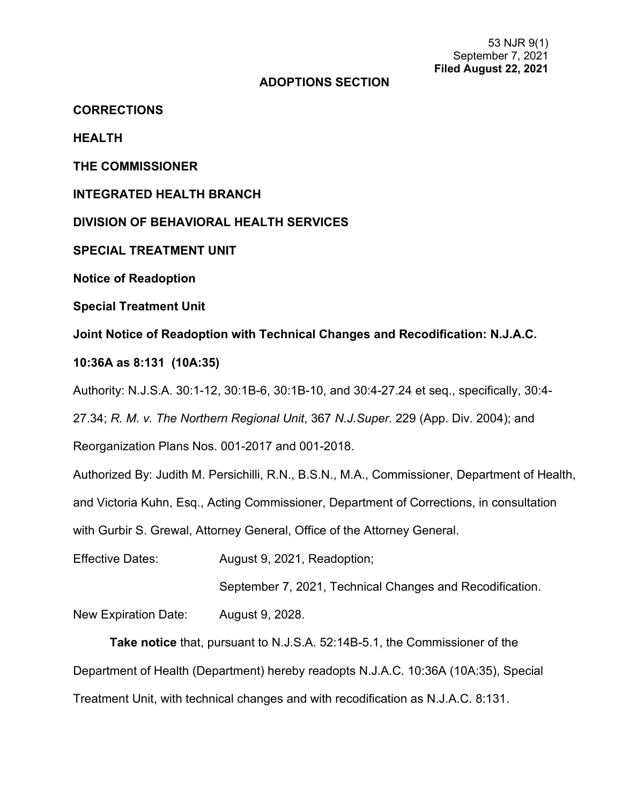#### **ADOPTIONS SECTION**

**CORRECTIONS**

**HEALTH**

**THE COMMISSIONER**

**INTEGRATED HEALTH BRANCH**

**DIVISION OF BEHAVIORAL HEALTH SERVICES**

**SPECIAL TREATMENT UNIT**

**Notice of Readoption**

**Special Treatment Unit**

**Joint Notice of Readoption with Technical Changes and Recodification: N.J.A.C.** 

**10:36A as 8:131 (10A:35)**

Authority: N.J.S.A. 30:1-12, 30:1B-6, 30:1B-10, and 30:4-27.24 et seq., specifically, 30:4-

27.34; *R. M. v. The Northern Regional Unit*, 367 *N.J.Super*. 229 (App. Div. 2004); and

Reorganization Plans Nos. 001-2017 and 001-2018.

Authorized By: Judith M. Persichilli, R.N., B.S.N., M.A., Commissioner, Department of Health,

and Victoria Kuhn, Esq., Acting Commissioner, Department of Corrections, in consultation

with Gurbir S. Grewal, Attorney General, Office of the Attorney General.

Effective Dates: August 9, 2021, Readoption;

September 7, 2021, Technical Changes and Recodification.

New Expiration Date: August 9, 2028.

**Take notice** that, pursuant to N.J.S.A. 52:14B-5.1, the Commissioner of the Department of Health (Department) hereby readopts N.J.A.C. 10:36A (10A:35), Special Treatment Unit, with technical changes and with recodification as N.J.A.C. 8:131.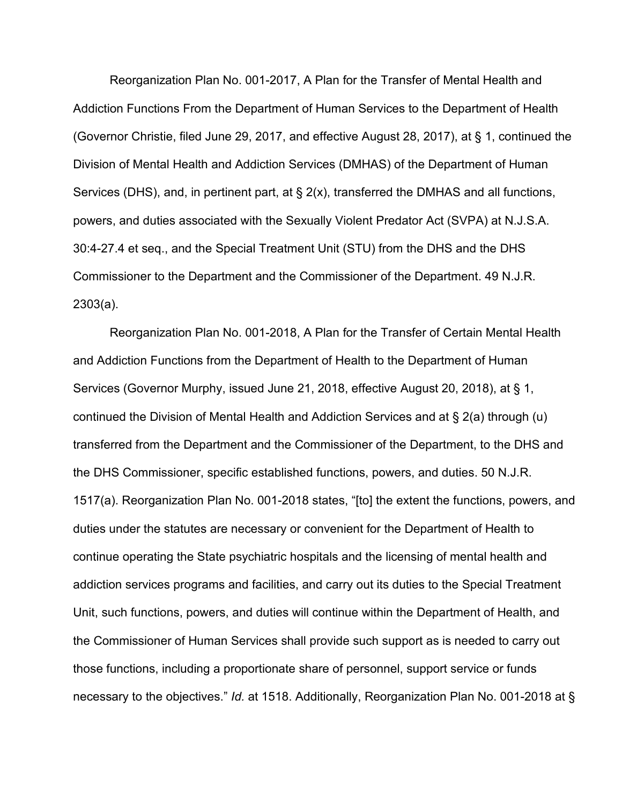Reorganization Plan No. 001-2017, A Plan for the Transfer of Mental Health and Addiction Functions From the Department of Human Services to the Department of Health (Governor Christie, filed June 29, 2017, and effective August 28, 2017), at § 1, continued the Division of Mental Health and Addiction Services (DMHAS) of the Department of Human Services (DHS), and, in pertinent part, at § 2(x), transferred the DMHAS and all functions, powers, and duties associated with the Sexually Violent Predator Act (SVPA) at N.J.S.A. 30:4-27.4 et seq., and the Special Treatment Unit (STU) from the DHS and the DHS Commissioner to the Department and the Commissioner of the Department. 49 N.J.R. 2303(a).

Reorganization Plan No. 001-2018, A Plan for the Transfer of Certain Mental Health and Addiction Functions from the Department of Health to the Department of Human Services (Governor Murphy, issued June 21, 2018, effective August 20, 2018), at § 1, continued the Division of Mental Health and Addiction Services and at § 2(a) through (u) transferred from the Department and the Commissioner of the Department, to the DHS and the DHS Commissioner, specific established functions, powers, and duties. 50 N.J.R. 1517(a). Reorganization Plan No. 001-2018 states, "[to] the extent the functions, powers, and duties under the statutes are necessary or convenient for the Department of Health to continue operating the State psychiatric hospitals and the licensing of mental health and addiction services programs and facilities, and carry out its duties to the Special Treatment Unit, such functions, powers, and duties will continue within the Department of Health, and the Commissioner of Human Services shall provide such support as is needed to carry out those functions, including a proportionate share of personnel, support service or funds necessary to the objectives." *Id.* at 1518. Additionally, Reorganization Plan No. 001-2018 at §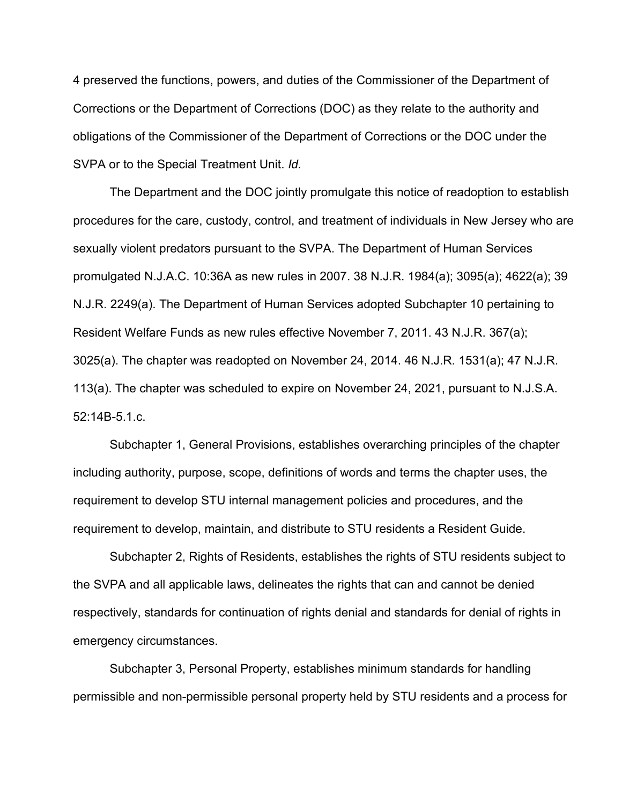4 preserved the functions, powers, and duties of the Commissioner of the Department of Corrections or the Department of Corrections (DOC) as they relate to the authority and obligations of the Commissioner of the Department of Corrections or the DOC under the SVPA or to the Special Treatment Unit. *Id.*

The Department and the DOC jointly promulgate this notice of readoption to establish procedures for the care, custody, control, and treatment of individuals in New Jersey who are sexually violent predators pursuant to the SVPA. The Department of Human Services promulgated N.J.A.C. 10:36A as new rules in 2007. 38 N.J.R. [1984\(a\);](https://advance.lexis.com/document/?pdmfid=1000516&crid=b117bd77-d67f-43cc-a18e-39185b21f993&pddocfullpath=%2Fshared%2Fdocument%2Fadministrative-codes%2Furn%3AcontentItem%3A5XKV-PW21-F65M-62MF-00009-00&pdtocnodeidentifier=AAOABHAAB&ecomp=L6hck&prid=ee4dc345-1844-4560-965f-d51ee9b96183) 3095(a); 4622(a); [39](https://advance.lexis.com/document/?pdmfid=1000516&crid=b117bd77-d67f-43cc-a18e-39185b21f993&pddocfullpath=%2Fshared%2Fdocument%2Fadministrative-codes%2Furn%3AcontentItem%3A5XKV-PW21-F65M-62MF-00009-00&pdtocnodeidentifier=AAOABHAAB&ecomp=L6hck&prid=ee4dc345-1844-4560-965f-d51ee9b96183) N.J.R. [2249\(a\).](https://advance.lexis.com/document/?pdmfid=1000516&crid=b117bd77-d67f-43cc-a18e-39185b21f993&pddocfullpath=%2Fshared%2Fdocument%2Fadministrative-codes%2Furn%3AcontentItem%3A5XKV-PW21-F65M-62MF-00009-00&pdtocnodeidentifier=AAOABHAAB&ecomp=L6hck&prid=ee4dc345-1844-4560-965f-d51ee9b96183) The Department of Human Services adopted Subchapter 10 pertaining to Resident Welfare Funds as new rules effective November 7, 2011. 43 N.J.R. 367(a); 3025(a). The chapter was readopted on November 24, 2014. 46 N.J.R. 1531(a); 47 N.J.R. 113(a). The chapter was scheduled to expire on November 24, 2021, pursuant to N.J.S.A. 52:14B-5.1.c.

Subchapter 1, General Provisions, establishes overarching principles of the chapter including authority, purpose, scope, definitions of words and terms the chapter uses, the requirement to develop STU internal management policies and procedures, and the requirement to develop, maintain, and distribute to STU residents a Resident Guide.

Subchapter 2, Rights of Residents, establishes the rights of STU residents subject to the SVPA and all applicable laws, delineates the rights that can and cannot be denied respectively, standards for continuation of rights denial and standards for denial of rights in emergency circumstances.

Subchapter 3, Personal Property, establishes minimum standards for handling permissible and non-permissible personal property held by STU residents and a process for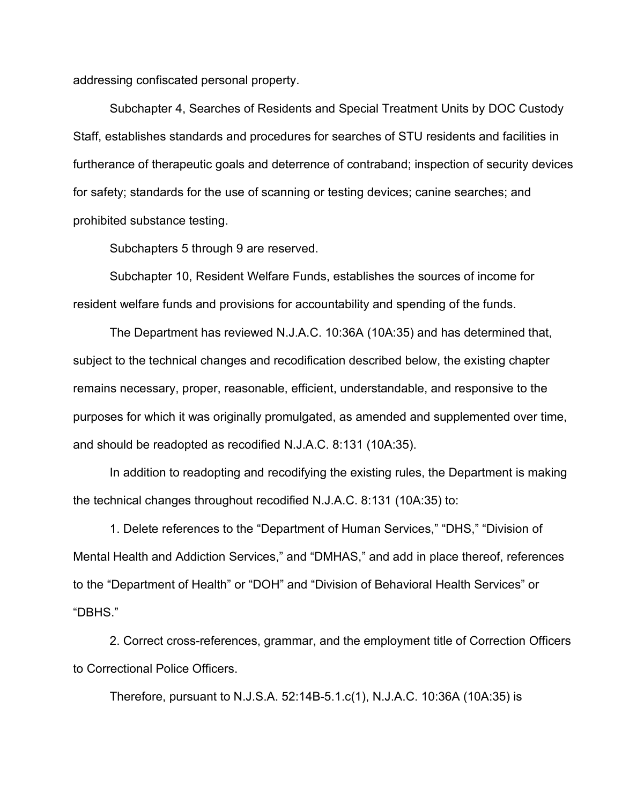addressing confiscated personal property.

Subchapter 4, Searches of Residents and Special Treatment Units by DOC Custody Staff, establishes standards and procedures for searches of STU residents and facilities in furtherance of therapeutic goals and deterrence of contraband; inspection of security devices for safety; standards for the use of scanning or testing devices; canine searches; and prohibited substance testing.

Subchapters 5 through 9 are reserved.

Subchapter 10, Resident Welfare Funds, establishes the sources of income for resident welfare funds and provisions for accountability and spending of the funds.

The Department has reviewed N.J.A.C. 10:36A (10A:35) and has determined that, subject to the technical changes and recodification described below, the existing chapter remains necessary, proper, reasonable, efficient, understandable, and responsive to the purposes for which it was originally promulgated, as amended and supplemented over time, and should be readopted as recodified N.J.A.C. 8:131 (10A:35).

In addition to readopting and recodifying the existing rules, the Department is making the technical changes throughout recodified N.J.A.C. 8:131 (10A:35) to:

1. Delete references to the "Department of Human Services," "DHS," "Division of Mental Health and Addiction Services," and "DMHAS," and add in place thereof, references to the "Department of Health" or "DOH" and "Division of Behavioral Health Services" or "DBHS."

2. Correct cross-references, grammar, and the employment title of Correction Officers to Correctional Police Officers.

Therefore, pursuant to N.J.S.A. 52:14B-5.1.c(1), N.J.A.C. 10:36A (10A:35) is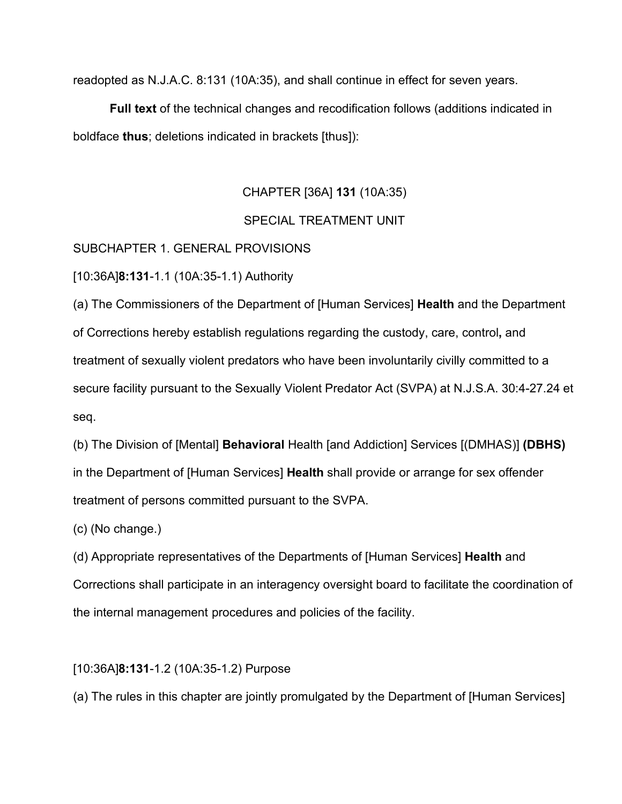readopted as N.J.A.C. 8:131 (10A:35), and shall continue in effect for seven years.

**Full text** of the technical changes and recodification follows (additions indicated in boldface **thus**; deletions indicated in brackets [thus]):

# CHAPTER [36A] **131** (10A:35)

# SPECIAL TREATMENT UNIT

## SUBCHAPTER 1. GENERAL PROVISIONS

[10:36A]**8:131**-1.1 (10A:35-1.1) Authority

(a) The Commissioners of the Department of [Human Services] **Health** and the Department of Corrections hereby establish regulations regarding the custody, care, control**,** and treatment of sexually violent predators who have been involuntarily civilly committed to a secure facility pursuant to the Sexually Violent Predator Act (SVPA) at N.J.S.A. 30:4-27.24 et seq.

(b) The Division of [Mental] **Behavioral** Health [and Addiction] Services [(DMHAS)] **(DBHS)** in the Department of [Human Services] **Health** shall provide or arrange for sex offender treatment of persons committed pursuant to the SVPA.

(c) (No change.)

(d) Appropriate representatives of the Departments of [Human Services] **Health** and Corrections shall participate in an interagency oversight board to facilitate the coordination of the internal management procedures and policies of the facility.

## [10:36A]**8:131**-1.2 (10A:35-1.2) Purpose

(a) The rules in this chapter are jointly promulgated by the Department of [Human Services]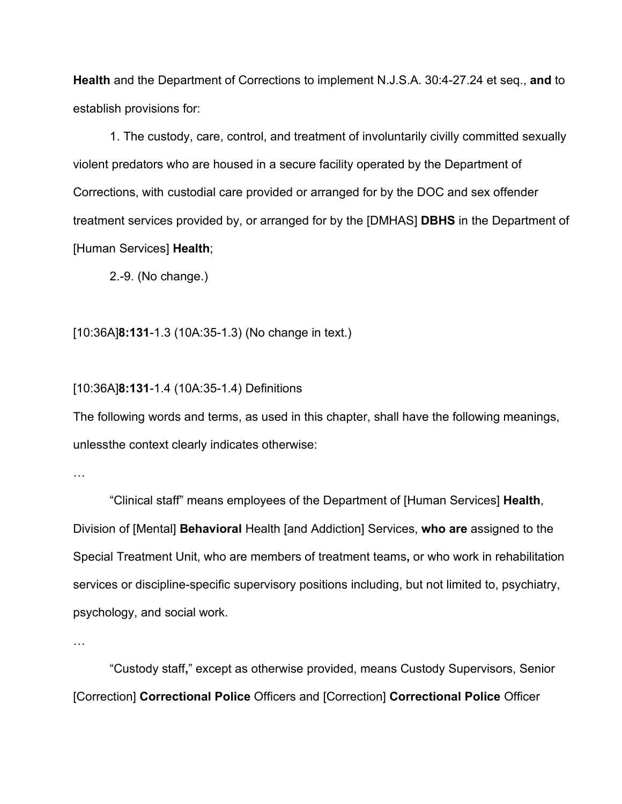**Health** and the Department of Corrections to implement N.J.S.A. 30:4-27.24 et seq., **and** to establish provisions for:

1. The custody, care, control, and treatment of involuntarily civilly committed sexually violent predators who are housed in a secure facility operated by the Department of Corrections, with custodial care provided or arranged for by the DOC and sex offender treatment services provided by, or arranged for by the [DMHAS] **DBHS** in the Department of [Human Services] **Health**;

2.-9. (No change.)

[10:36A]**8:131**-1.3 (10A:35-1.3) (No change in text.)

## [10:36A]**8:131**-1.4 (10A:35-1.4) Definitions

The following words and terms, as used in this chapter, shall have the following meanings, unlessthe context clearly indicates otherwise:

…

"Clinical staff" means employees of the Department of [Human Services] **Health**, Division of [Mental] **Behavioral** Health [and Addiction] Services, **who are** assigned to the Special Treatment Unit, who are members of treatment teams**,** or who work in rehabilitation services or discipline-specific supervisory positions including, but not limited to, psychiatry, psychology, and social work.

…

"Custody staff**,**" except as otherwise provided, means Custody Supervisors, Senior [Correction] **Correctional Police** Officers and [Correction] **Correctional Police** Officer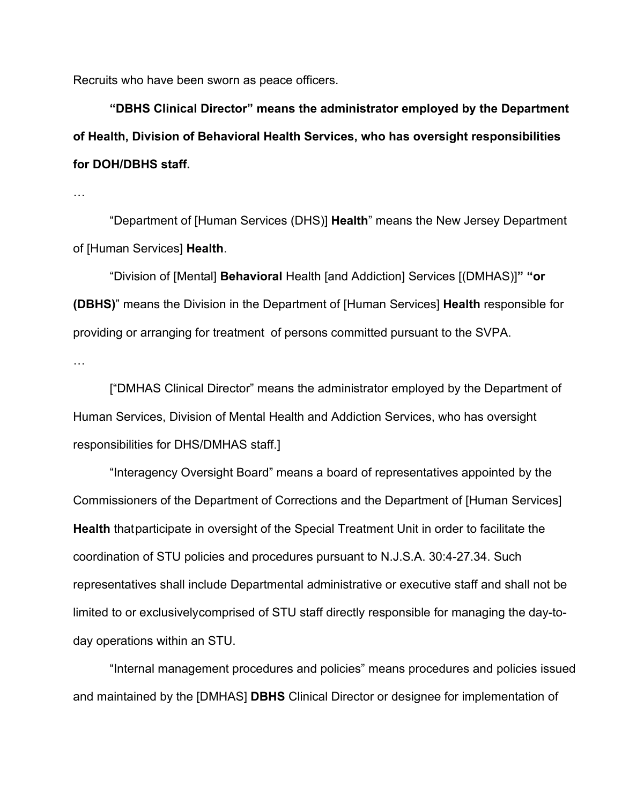Recruits who have been sworn as peace officers.

**"DBHS Clinical Director" means the administrator employed by the Department of Health, Division of Behavioral Health Services, who has oversight responsibilities for DOH/DBHS staff.**

…

"Department of [Human Services (DHS)] **Health**" means the New Jersey Department of [Human Services] **Health**.

"Division of [Mental] **Behavioral** Health [and Addiction] Services [(DMHAS)]**" "or (DBHS)**" means the Division in the Department of [Human Services] **Health** responsible for providing or arranging for treatment of persons committed pursuant to the SVPA.

…

["DMHAS Clinical Director" means the administrator employed by the Department of Human Services, Division of Mental Health and Addiction Services, who has oversight responsibilities for DHS/DMHAS staff.]

"Interagency Oversight Board" means a board of representatives appointed by the Commissioners of the Department of Corrections and the Department of [Human Services] **Health** that participate in oversight of the Special Treatment Unit in order to facilitate the coordination of STU policies and procedures pursuant to [N.J.S.A. 30:4-27.34.](https://advance.lexis.com/api/document?collection=statutes-legislation&id=urn%3AcontentItem%3A5F0Y-C321-6F13-04HC-00000-00&context=1000516) Such representatives shall include Departmental administrative or executive staff and shall not be limited to or exclusivelycomprised of STU staff directly responsible for managing the day-today operations within an STU.

"Internal management procedures and policies" means procedures and policies issued and maintained by the [DMHAS] **DBHS** Clinical Director or designee for implementation of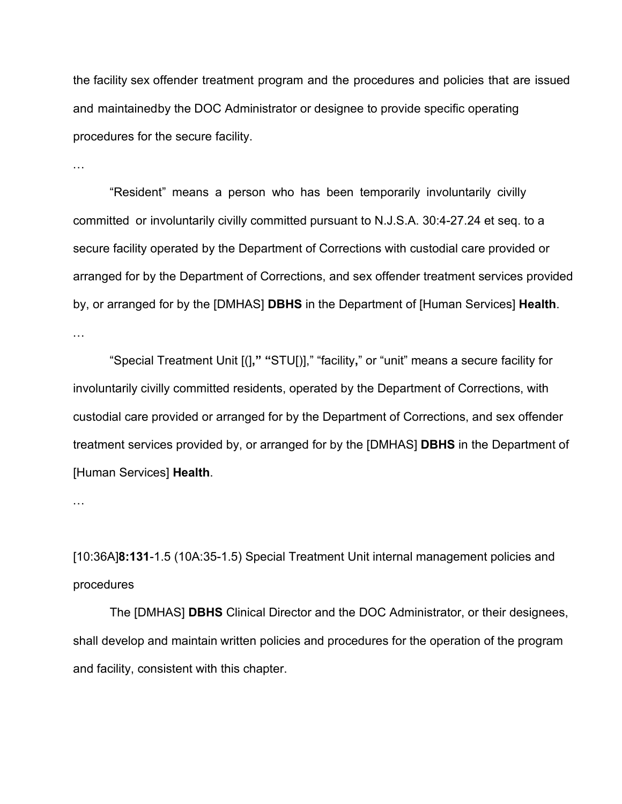the facility sex offender treatment program and the procedures and policies that are issued and maintainedby the DOC Administrator or designee to provide specific operating procedures for the secure facility.

…

"Resident" means a person who has been temporarily involuntarily civilly committed or involuntarily civilly committed pursuant to [N.J.S.A. 30:4-27.24](https://advance.lexis.com/api/document?collection=statutes-legislation&id=urn%3AcontentItem%3A5F0Y-C321-6F13-04H1-00000-00&context=1000516) et seq. to a secure facility operated by the Department of Corrections with custodial care provided or arranged for by the Department of Corrections, and sex offender treatment services provided by, or arranged for by the [DMHAS] **DBHS** in the Department of [Human Services] **Health**.

…

"Special Treatment Unit [(]**," "**STU[)]," "facility**,**" or "unit" means a secure facility for involuntarily civilly committed residents, operated by the Department of Corrections, with custodial care provided or arranged for by the Department of Corrections, and sex offender treatment services provided by, or arranged for by the [DMHAS] **DBHS** in the Department of [Human Services] **Health**.

…

[10:36A]**8:131**-1.5 (10A:35-1.5) Special Treatment Unit internal management policies and procedures

The [DMHAS] **DBHS** Clinical Director and the DOC Administrator, or their designees, shall develop and maintain written policies and procedures for the operation of the program and facility, consistent with this chapter.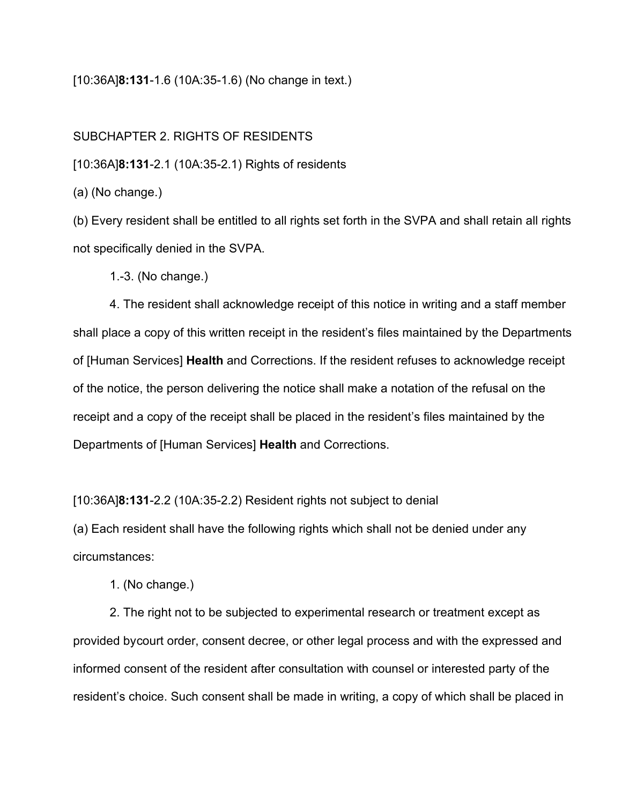#### [10:36A]**8:131**-1.6 (10A:35-1.6) (No change in text.)

#### SUBCHAPTER 2. RIGHTS OF RESIDENTS

[10:36A]**8:131**-2.1 (10A:35-2.1) Rights of residents

(a) (No change.)

(b) Every resident shall be entitled to all rights set forth in the SVPA and shall retain all rights not specifically denied in the SVPA.

1.-3. (No change.)

4. The resident shall acknowledge receipt of this notice in writing and a staff member shall place a copy of this written receipt in the resident's files maintained by the Departments of [Human Services] **Health** and Corrections. If the resident refuses to acknowledge receipt of the notice, the person delivering the notice shall make a notation of the refusal on the receipt and a copy of the receipt shall be placed in the resident's files maintained by the Departments of [Human Services] **Health** and Corrections.

[10:36A]**8:131**-2.2 (10A:35-2.2) Resident rights not subject to denial

(a) Each resident shall have the following rights which shall not be denied under any circumstances:

1. (No change.)

2. The right not to be subjected to experimental research or treatment except as provided bycourt order, consent decree, or other legal process and with the expressed and informed consent of the resident after consultation with counsel or interested party of the resident's choice. Such consent shall be made in writing, a copy of which shall be placed in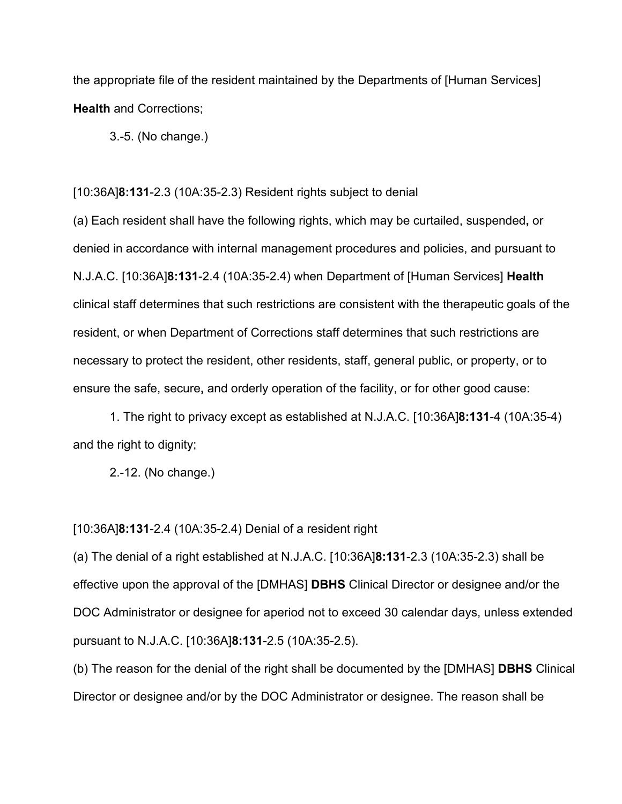the appropriate file of the resident maintained by the Departments of [Human Services] **Health** and Corrections;

3.-5. (No change.)

[10:36A]**8:131**-2.3 (10A:35-2.3) Resident rights subject to denial

(a) Each resident shall have the following rights, which may be curtailed, suspended**,** or denied in accordance with internal management procedures and policies, and pursuant to [N.J.A.C. \[10:36A\]](https://advance.lexis.com/api/document?collection=administrative-codes&id=urn%3AcontentItem%3A5XKV-PW91-JKPJ-G0MM-00009-00&context=1000516)**8:131**-2.4 (10A:35-2.4) when Department of [Human Services] **Health** clinical staff determines that such restrictions are consistent with the therapeutic goals of the resident, or when Department of Corrections staff determines that such restrictions are necessary to protect the resident, other residents, staff, general public, or property, or to ensure the safe, secure**,** and orderly operation of the facility, or for other good cause:

1. The right to privacy except as established at N.J.A.C. [10:36A]**8:131**-4 (10A:35-4) and the right to dignity;

2.-12. (No change.)

[10:36A]**8:131**-2.4 (10A:35-2.4) Denial of a resident right

(a) The denial of a right established at [N.J.A.C. \[10:36A\]](https://advance.lexis.com/api/document?collection=administrative-codes&id=urn%3AcontentItem%3A5XKV-PW61-JW09-M255-00009-00&context=1000516)**8:131**-2.3 (10A:35-2.3) shall be effective upon the approval of the [DMHAS] **DBHS** Clinical Director or designee and/or the DOC Administrator or designee for aperiod not to exceed 30 calendar days, unless extended pursuant to [N.J.A.C. \[10:36A\]](https://advance.lexis.com/api/document?collection=administrative-codes&id=urn%3AcontentItem%3A5XKV-PW91-K0BB-S4FC-00009-00&context=1000516)**8:131**-2.5 (10A:35-2.5).

(b) The reason for the denial of the right shall be documented by the [DMHAS] **DBHS** Clinical Director or designee and/or by the DOC Administrator or designee. The reason shall be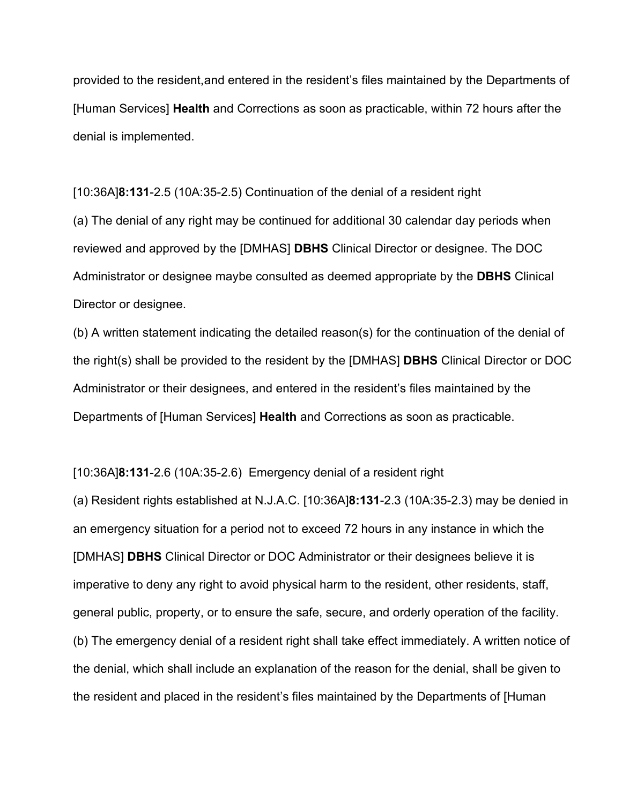provided to the resident,and entered in the resident's files maintained by the Departments of [Human Services] **Health** and Corrections as soon as practicable, within 72 hours after the denial is implemented.

[10:36A]**8:131**-2.5 (10A:35-2.5) Continuation of the denial of a resident right (a) The denial of any right may be continued for additional 30 calendar day periods when reviewed and approved by the [DMHAS] **DBHS** Clinical Director or designee. The DOC Administrator or designee maybe consulted as deemed appropriate by the **DBHS** Clinical Director or designee.

(b) A written statement indicating the detailed reason(s) for the continuation of the denial of the right(s) shall be provided to the resident by the [DMHAS] **DBHS** Clinical Director or DOC Administrator or their designees, and entered in the resident's files maintained by the Departments of [Human Services] **Health** and Corrections as soon as practicable.

[10:36A]**8:131**-2.6 (10A:35-2.6) Emergency denial of a resident right

(a) Resident rights established at [N.J.A.C. \[10:36A\]](https://advance.lexis.com/api/document?collection=administrative-codes&id=urn%3AcontentItem%3A5XKV-PW61-JW09-M255-00009-00&context=1000516)**8:131**-2.3 (10A:35-2.3) may be denied in an emergency situation for a period not to exceed 72 hours in any instance in which the [DMHAS] **DBHS** Clinical Director or DOC Administrator or their designees believe it is imperative to deny any right to avoid physical harm to the resident, other residents, staff, general public, property, or to ensure the safe, secure, and orderly operation of the facility. (b) The emergency denial of a resident right shall take effect immediately. A written notice of the denial, which shall include an explanation of the reason for the denial, shall be given to the resident and placed in the resident's files maintained by the Departments of [Human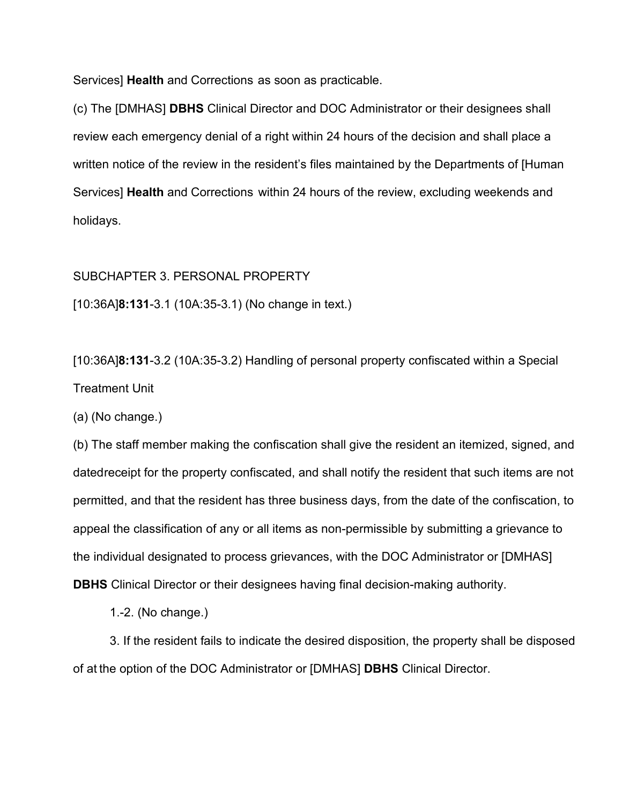Services] **Health** and Corrections as soon as practicable.

(c) The [DMHAS] **DBHS** Clinical Director and DOC Administrator or their designees shall review each emergency denial of a right within 24 hours of the decision and shall place a written notice of the review in the resident's files maintained by the Departments of [Human Services] **Health** and Corrections within 24 hours of the review, excluding weekends and holidays.

SUBCHAPTER 3. PERSONAL PROPERTY

[10:36A]**8:131**-3.1 (10A:35-3.1) (No change in text.)

[10:36A]**8:131**-3.2 (10A:35-3.2) Handling of personal property confiscated within a Special Treatment Unit

(a) (No change.)

(b) The staff member making the confiscation shall give the resident an itemized, signed, and datedreceipt for the property confiscated, and shall notify the resident that such items are not permitted, and that the resident has three business days, from the date of the confiscation, to appeal the classification of any or all items as non-permissible by submitting a grievance to the individual designated to process grievances, with the DOC Administrator or [DMHAS] **DBHS** Clinical Director or their designees having final decision-making authority.

1.-2. (No change.)

3. If the resident fails to indicate the desired disposition, the property shall be disposed of at the option of the DOC Administrator or [DMHAS] **DBHS** Clinical Director.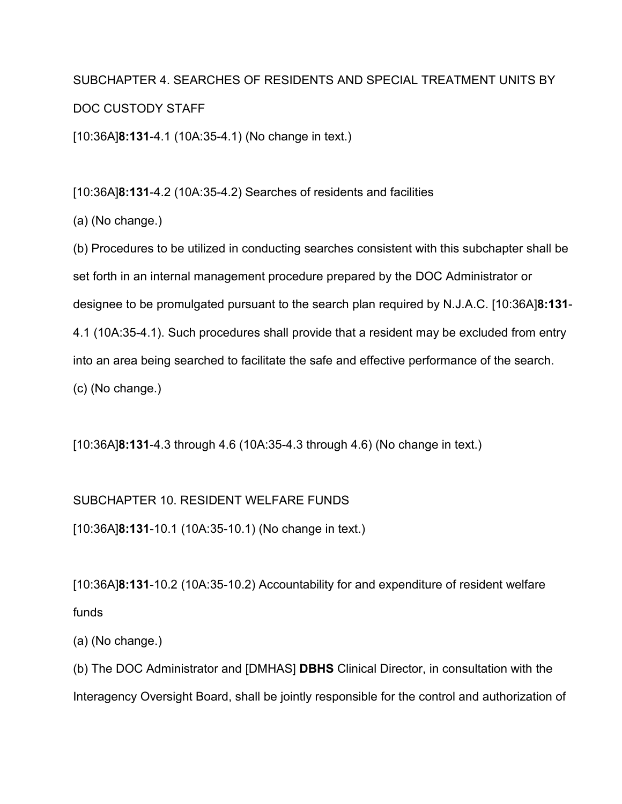# SUBCHAPTER 4. SEARCHES OF RESIDENTS AND SPECIAL TREATMENT UNITS BY DOC CUSTODY STAFF

[10:36A]**8:131**-4.1 (10A:35-4.1) (No change in text.)

[10:36A]**8:131**-4.2 (10A:35-4.2) Searches of residents and facilities

(a) (No change.)

(b) Procedures to be utilized in conducting searches consistent with this subchapter shall be set forth in an internal management procedure prepared by the DOC Administrator or designee to be promulgated pursuant to the search plan required by [N.J.A.C. \[10:36A\]](https://advance.lexis.com/document/documentslider/?pdmfid=1000516&crid=71278a85-56a6-446f-9ab9-20e766da20ef&pdistocdocslideraccess=true&config=&pddocfullpath=%2Fshared%2Fdocument%2Fadministrative-codes%2Furn%3AcontentItem%3A5XKV-PW81-JC5P-G0RP-00009-00&pdcomponentid=237260&pdtocnodeidentifier=AAOABHAAFAAC&ecomp=w59nk&prid=40081290-6c20-49de-a1f5-bcd075414f90)**8:131**- [4.1](https://advance.lexis.com/document/documentslider/?pdmfid=1000516&crid=71278a85-56a6-446f-9ab9-20e766da20ef&pdistocdocslideraccess=true&config=&pddocfullpath=%2Fshared%2Fdocument%2Fadministrative-codes%2Furn%3AcontentItem%3A5XKV-PW81-JC5P-G0RP-00009-00&pdcomponentid=237260&pdtocnodeidentifier=AAOABHAAFAAC&ecomp=w59nk&prid=40081290-6c20-49de-a1f5-bcd075414f90) (10A:35-4.1). Such procedures shall provide that a resident may be excluded from entry into an area being searched to facilitate the safe and effective performance of the search. (c) (No change.)

[10:36A]**8:131**-4.3 through 4.6 (10A:35-4.3 through 4.6) (No change in text.)

## SUBCHAPTER 10. RESIDENT WELFARE FUNDS

[10:36A]**8:131**-10.1 (10A:35-10.1) (No change in text.)

[10:36A]**8:131**-10.2 (10A:35-10.2) Accountability for and expenditure of resident welfare funds

(a) (No change.)

(b) The DOC Administrator and [DMHAS] **DBHS** Clinical Director, in consultation with the Interagency Oversight Board, shall be jointly responsible for the control and authorization of